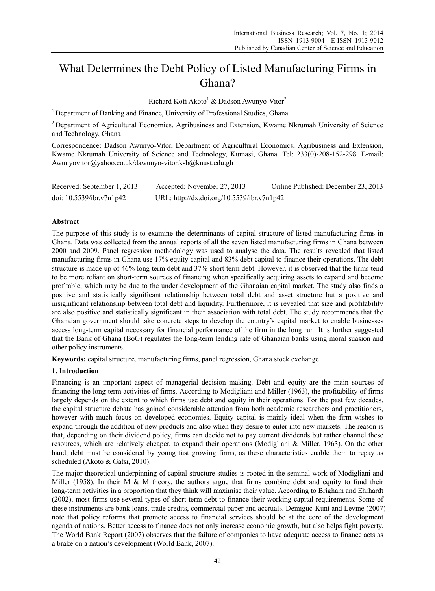# What Determines the Debt Policy of Listed Manufacturing Firms in Ghana?

Richard Kofi Akoto<sup>1</sup> & Dadson Awunyo-Vitor<sup>2</sup>

<sup>1</sup> Department of Banking and Finance, University of Professional Studies, Ghana

2 Department of Agricultural Economics, Agribusiness and Extension, Kwame Nkrumah University of Science and Technology, Ghana

Correspondence: Dadson Awunyo-Vitor, Department of Agricultural Economics, Agribusiness and Extension, Kwame Nkrumah University of Science and Technology, Kumasi, Ghana. Tel: 233(0)-208-152-298. E-mail: Awunyovitor@yahoo.co.uk/dawunyo-vitor.ksb@knust.edu.gh

| Received: September 1, 2013 | Accepted: November 27, 2013                | Online Published: December 23, 2013 |
|-----------------------------|--------------------------------------------|-------------------------------------|
| doi: $10.5539$ /ibr.v7n1p42 | URL: http://dx.doi.org/10.5539/ibr.v7n1p42 |                                     |

# **Abstract**

The purpose of this study is to examine the determinants of capital structure of listed manufacturing firms in Ghana. Data was collected from the annual reports of all the seven listed manufacturing firms in Ghana between 2000 and 2009. Panel regression methodology was used to analyse the data. The results revealed that listed manufacturing firms in Ghana use 17% equity capital and 83% debt capital to finance their operations. The debt structure is made up of 46% long term debt and 37% short term debt. However, it is observed that the firms tend to be more reliant on short-term sources of financing when specifically acquiring assets to expand and become profitable, which may be due to the under development of the Ghanaian capital market. The study also finds a positive and statistically significant relationship between total debt and asset structure but a positive and insignificant relationship between total debt and liquidity. Furthermore, it is revealed that size and profitability are also positive and statistically significant in their association with total debt. The study recommends that the Ghanaian government should take concrete steps to develop the country's capital market to enable businesses access long-term capital necessary for financial performance of the firm in the long run. It is further suggested that the Bank of Ghana (BoG) regulates the long-term lending rate of Ghanaian banks using moral suasion and other policy instruments.

**Keywords:** capital structure, manufacturing firms, panel regression, Ghana stock exchange

# **1. Introduction**

Financing is an important aspect of managerial decision making. Debt and equity are the main sources of financing the long term activities of firms. According to Modigliani and Miller (1963), the profitability of firms largely depends on the extent to which firms use debt and equity in their operations. For the past few decades, the capital structure debate has gained considerable attention from both academic researchers and practitioners, however with much focus on developed economies. Equity capital is mainly ideal when the firm wishes to expand through the addition of new products and also when they desire to enter into new markets. The reason is that, depending on their dividend policy, firms can decide not to pay current dividends but rather channel these resources, which are relatively cheaper, to expand their operations (Modigliani & Miller, 1963). On the other hand, debt must be considered by young fast growing firms, as these characteristics enable them to repay as scheduled (Akoto & Gatsi, 2010).

The major theoretical underpinning of capital structure studies is rooted in the seminal work of Modigliani and Miller (1958). In their M & M theory, the authors argue that firms combine debt and equity to fund their long-term activities in a proportion that they think will maximise their value. According to Brigham and Ehrhardt (2002), most firms use several types of short-term debt to finance their working capital requirements. Some of these instruments are bank loans, trade credits, commercial paper and accruals. Demiguc-Kunt and Levine (2007) note that policy reforms that promote access to financial services should be at the core of the development agenda of nations. Better access to finance does not only increase economic growth, but also helps fight poverty. The World Bank Report (2007) observes that the failure of companies to have adequate access to finance acts as a brake on a nation's development (World Bank, 2007).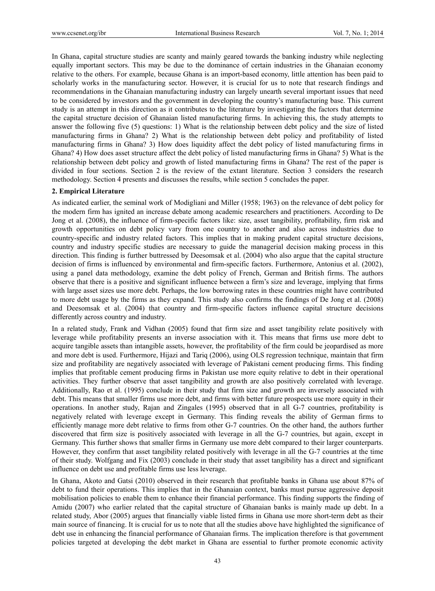In Ghana, capital structure studies are scanty and mainly geared towards the banking industry while neglecting equally important sectors. This may be due to the dominance of certain industries in the Ghanaian economy relative to the others. For example, because Ghana is an import-based economy, little attention has been paid to scholarly works in the manufacturing sector. However, it is crucial for us to note that research findings and recommendations in the Ghanaian manufacturing industry can largely unearth several important issues that need to be considered by investors and the government in developing the country's manufacturing base. This current study is an attempt in this direction as it contributes to the literature by investigating the factors that determine the capital structure decision of Ghanaian listed manufacturing firms. In achieving this, the study attempts to answer the following five (5) questions: 1) What is the relationship between debt policy and the size of listed manufacturing firms in Ghana? 2) What is the relationship between debt policy and profitability of listed manufacturing firms in Ghana? 3) How does liquidity affect the debt policy of listed manufacturing firms in Ghana? 4) How does asset structure affect the debt policy of listed manufacturing firms in Ghana? 5) What is the relationship between debt policy and growth of listed manufacturing firms in Ghana? The rest of the paper is divided in four sections. Section 2 is the review of the extant literature. Section 3 considers the research methodology. Section 4 presents and discusses the results, while section 5 concludes the paper.

#### **2. Empirical Literature**

As indicated earlier, the seminal work of Modigliani and Miller (1958; 1963) on the relevance of debt policy for the modern firm has ignited an increase debate among academic researchers and practitioners. According to De Jong et al. (2008), the influence of firm-specific factors like: size, asset tangibility, profitability, firm risk and growth opportunities on debt policy vary from one country to another and also across industries due to country-specific and industry related factors. This implies that in making prudent capital structure decisions, country and industry specific studies are necessary to guide the managerial decision making process in this direction. This finding is further buttressed by Deesomsak et al. (2004) who also argue that the capital structure decision of firms is influenced by environmental and firm-specific factors. Furthermore, Antonius et al. (2002), using a panel data methodology, examine the debt policy of French, German and British firms. The authors observe that there is a positive and significant influence between a firm's size and leverage, implying that firms with large asset sizes use more debt. Perhaps, the low borrowing rates in these countries might have contributed to more debt usage by the firms as they expand. This study also confirms the findings of De Jong et al. (2008) and Deesomsak et al. (2004) that country and firm-specific factors influence capital structure decisions differently across country and industry.

In a related study, Frank and Vidhan (2005) found that firm size and asset tangibility relate positively with leverage while profitability presents an inverse association with it. This means that firms use more debt to acquire tangible assets than intangible assets, however, the profitability of the firm could be jeopardised as more and more debt is used. Furthermore, Hijazi and Tariq (2006), using OLS regression technique, maintain that firm size and profitability are negatively associated with leverage of Pakistani cement producing firms. This finding implies that profitable cement producing firms in Pakistan use more equity relative to debt in their operational activities. They further observe that asset tangibility and growth are also positively correlated with leverage. Additionally, Rao et al. (1995) conclude in their study that firm size and growth are inversely associated with debt. This means that smaller firms use more debt, and firms with better future prospects use more equity in their operations. In another study, Rajan and Zingales (1995) observed that in all G-7 countries, profitability is negatively related with leverage except in Germany. This finding reveals the ability of German firms to efficiently manage more debt relative to firms from other G-7 countries. On the other hand, the authors further discovered that firm size is positively associated with leverage in all the G-7 countries, but again, except in Germany. This further shows that smaller firms in Germany use more debt compared to their larger counterparts. However, they confirm that asset tangibility related positively with leverage in all the G-7 countries at the time of their study. Wolfgang and Fix (2003) conclude in their study that asset tangibility has a direct and significant influence on debt use and profitable firms use less leverage.

In Ghana, Akoto and Gatsi (2010) observed in their research that profitable banks in Ghana use about 87% of debt to fund their operations. This implies that in the Ghanaian context, banks must pursue aggressive deposit mobilisation policies to enable them to enhance their financial performance. This finding supports the finding of Amidu (2007) who earlier related that the capital structure of Ghanaian banks is mainly made up debt. In a related study, Abor (2005) argues that financially viable listed firms in Ghana use more short-term debt as their main source of financing. It is crucial for us to note that all the studies above have highlighted the significance of debt use in enhancing the financial performance of Ghanaian firms. The implication therefore is that government policies targeted at developing the debt market in Ghana are essential to further promote economic activity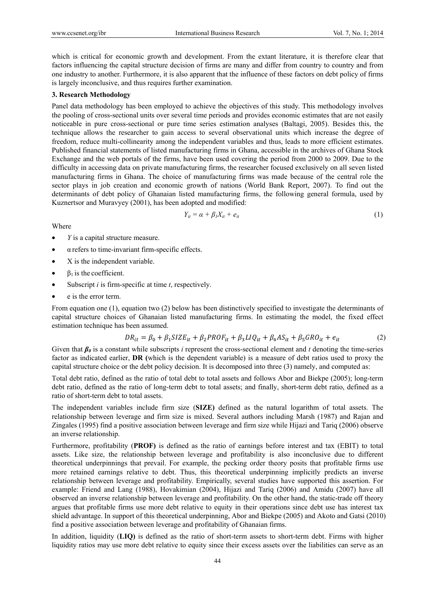which is critical for economic growth and development. From the extant literature, it is therefore clear that factors influencing the capital structure decision of firms are many and differ from country to country and from one industry to another. Furthermore, it is also apparent that the influence of these factors on debt policy of firms is largely inconclusive, and thus requires further examination.

#### **3. Research Methodology**

Panel data methodology has been employed to achieve the objectives of this study. This methodology involves the pooling of cross-sectional units over several time periods and provides economic estimates that are not easily noticeable in pure cross-sectional or pure time series estimation analyses (Baltagi, 2005). Besides this, the technique allows the researcher to gain access to several observational units which increase the degree of freedom, reduce multi-collinearity among the independent variables and thus, leads to more efficient estimates. Published financial statements of listed manufacturing firms in Ghana, accessible in the archives of Ghana Stock Exchange and the web portals of the firms, have been used covering the period from 2000 to 2009. Due to the difficulty in accessing data on private manufacturing firms, the researcher focused exclusively on all seven listed manufacturing firms in Ghana. The choice of manufacturing firms was made because of the central role the sector plays in job creation and economic growth of nations (World Bank Report, 2007). To find out the determinants of debt policy of Ghanaian listed manufacturing firms, the following general formula, used by Kuznertsor and Muravyey (2001), has been adopted and modified:

$$
Y_{it} = \alpha + \beta_l X_{it} + e_{it} \tag{1}
$$

Where

- *Y* is a capital structure measure.
- $\alpha$  refers to time-invariant firm-specific effects.
- X is the independent variable.
- $\cdot$   $\beta_1$  is the coefficient.
- Subscript *i* is firm-specific at time *t*, respectively.
- e is the error term.

From equation one (1), equation two (2) below has been distinctively specified to investigate the determinants of capital structure choices of Ghanaian listed manufacturing firms. In estimating the model, the fixed effect estimation technique has been assumed.

$$
DR_{it} = \beta_0 + \beta_1 SIZE_{it} + \beta_2 PROF_{it} + \beta_3 LIQ_{it} + \beta_4 AS_{it} + \beta_5 GRO_{it} + e_{it}
$$
(2)

Given that *β0* is a constant while subscripts *i* represent the cross-sectional element and *t* denoting the time-series factor as indicated earlier, **DR (**which is the dependent variable) is a measure of debt ratios used to proxy the capital structure choice or the debt policy decision. It is decomposed into three (3) namely, and computed as:

Total debt ratio, defined as the ratio of total debt to total assets and follows Abor and Biekpe (2005); long-term debt ratio, defined as the ratio of long-term debt to total assets; and finally, short-term debt ratio, defined as a ratio of short-term debt to total assets.

The independent variables include firm size (**SIZE)** defined as the natural logarithm of total assets. The relationship between leverage and firm size is mixed. Several authors including Marsh (1987) and Rajan and Zingales (1995) find a positive association between leverage and firm size while Hijazi and Tariq (2006) observe an inverse relationship.

Furthermore, profitability (**PROF)** is defined as the ratio of earnings before interest and tax (EBIT) to total assets. Like size, the relationship between leverage and profitability is also inconclusive due to different theoretical underpinnings that prevail. For example, the pecking order theory posits that profitable firms use more retained earnings relative to debt. Thus, this theoretical underpinning implicitly predicts an inverse relationship between leverage and profitability. Empirically, several studies have supported this assertion. For example: Friend and Lang (1988), Hovakimian (2004), Hijazi and Tariq (2006) and Amidu (2007) have all observed an inverse relationship between leverage and profitability. On the other hand, the static-trade off theory argues that profitable firms use more debt relative to equity in their operations since debt use has interest tax shield advantage. In support of this theoretical underpinning, Abor and Biekpe (2005) and Akoto and Gatsi (2010) find a positive association between leverage and profitability of Ghanaian firms.

In addition, liquidity (**LIQ)** is defined as the ratio of short-term assets to short-term debt. Firms with higher liquidity ratios may use more debt relative to equity since their excess assets over the liabilities can serve as an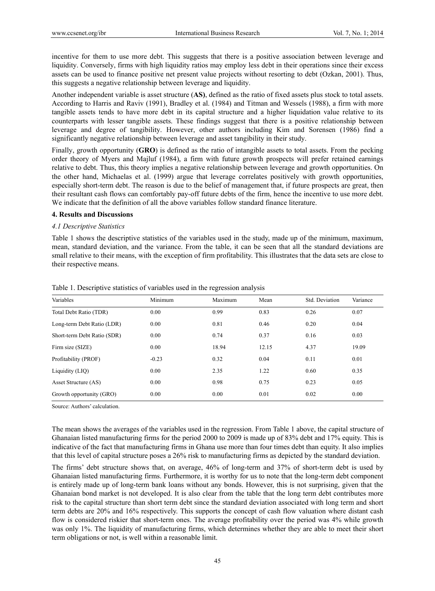incentive for them to use more debt. This suggests that there is a positive association between leverage and liquidity. Conversely, firms with high liquidity ratios may employ less debt in their operations since their excess assets can be used to finance positive net present value projects without resorting to debt (Ozkan, 2001). Thus, this suggests a negative relationship between leverage and liquidity.

Another independent variable is asset structure (**AS)**, defined as the ratio of fixed assets plus stock to total assets. According to Harris and Raviv (1991), Bradley et al. (1984) and Titman and Wessels (1988), a firm with more tangible assets tends to have more debt in its capital structure and a higher liquidation value relative to its counterparts with lesser tangible assets. These findings suggest that there is a positive relationship between leverage and degree of tangibility. However, other authors including Kim and Sorensen (1986) find a significantly negative relationship between leverage and asset tangibility in their study.

Finally, growth opportunity (**GRO**) is defined as the ratio of intangible assets to total assets. From the pecking order theory of Myers and Majluf (1984), a firm with future growth prospects will prefer retained earnings relative to debt. Thus, this theory implies a negative relationship between leverage and growth opportunities. On the other hand, Michaelas et al. (1999) argue that leverage correlates positively with growth opportunities, especially short-term debt. The reason is due to the belief of management that, if future prospects are great, then their resultant cash flows can comfortably pay-off future debts of the firm, hence the incentive to use more debt. We indicate that the definition of all the above variables follow standard finance literature.

#### **4. Results and Discussions**

#### *4.1 Descriptive Statistics*

Table 1 shows the descriptive statistics of the variables used in the study, made up of the minimum, maximum, mean, standard deviation, and the variance. From the table, it can be seen that all the standard deviations are small relative to their means, with the exception of firm profitability. This illustrates that the data sets are close to their respective means.

| Variables                   | Minimum | Maximum | Mean  | Std. Deviation | Variance |
|-----------------------------|---------|---------|-------|----------------|----------|
| Total Debt Ratio (TDR)      | 0.00    | 0.99    | 0.83  | 0.26           | 0.07     |
| Long-term Debt Ratio (LDR)  | 0.00    | 0.81    | 0.46  | 0.20           | 0.04     |
| Short-term Debt Ratio (SDR) | 0.00    | 0.74    | 0.37  | 0.16           | 0.03     |
| Firm size (SIZE)            | 0.00    | 18.94   | 12.15 | 4.37           | 19.09    |
| Profitability (PROF)        | $-0.23$ | 0.32    | 0.04  | 0.11           | 0.01     |
| Liquidity (LIO)             | 0.00    | 2.35    | 1.22  | 0.60           | 0.35     |
| Asset Structure (AS)        | 0.00    | 0.98    | 0.75  | 0.23           | 0.05     |
| Growth opportunity (GRO)    | 0.00    | 0.00    | 0.01  | 0.02           | 0.00     |

Table 1. Descriptive statistics of variables used in the regression analysis

Source: Authors' calculation.

The mean shows the averages of the variables used in the regression. From Table 1 above, the capital structure of Ghanaian listed manufacturing firms for the period 2000 to 2009 is made up of 83% debt and 17% equity. This is indicative of the fact that manufacturing firms in Ghana use more than four times debt than equity. It also implies that this level of capital structure poses a 26% risk to manufacturing firms as depicted by the standard deviation.

The firms' debt structure shows that, on average, 46% of long-term and 37% of short-term debt is used by Ghanaian listed manufacturing firms. Furthermore, it is worthy for us to note that the long-term debt component is entirely made up of long-term bank loans without any bonds. However, this is not surprising, given that the Ghanaian bond market is not developed. It is also clear from the table that the long term debt contributes more risk to the capital structure than short term debt since the standard deviation associated with long term and short term debts are 20% and 16% respectively. This supports the concept of cash flow valuation where distant cash flow is considered riskier that short-term ones. The average profitability over the period was 4% while growth was only 1%. The liquidity of manufacturing firms, which determines whether they are able to meet their short term obligations or not, is well within a reasonable limit.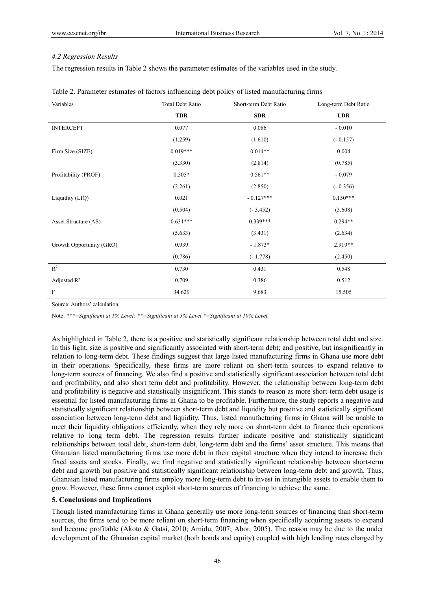## *4.2 Regression Results*

The regression results in Table 2 shows the parameter estimates of the variables used in the study.

| Variables                | <b>Total Debt Ratio</b> | Short-term Debt Ratio | Long-term Debt Ratio |
|--------------------------|-------------------------|-----------------------|----------------------|
|                          | <b>TDR</b>              | <b>SDR</b>            | LDR                  |
| <b>INTERCEPT</b>         | 0.077                   | 0.086                 | $-0.010$             |
|                          | (1.259)                 | (1.610)               | $(-0.157)$           |
| Firm Size (SIZE)         | $0.019***$              | $0.014**$             | 0.004                |
|                          | (3.330)                 | (2.814)               | (0.785)              |
| Profitability (PROF)     | $0.505*$                | $0.561**$             | $-0.079$             |
|                          | (2.261)                 | (2.850)               | $(-0.356)$           |
| Liquidity (LIQ)          | 0.021                   | $-0.127***$           | $0.150***$           |
|                          | (0.504)                 | $(-3.452)$            | (3.608)              |
| Asset Structure (AS)     | $0.631***$              | $0.339***$            | $0.294**$            |
|                          | (5.633)                 | (3.431)               | (2.634)              |
| Growth Opportunity (GRO) | 0.939                   | $-1.873*$             | $2.919**$            |
|                          | (0.786)                 | $(-1.778)$            | (2.450)              |
| $\mathbb{R}^2$           | 0.730                   | 0.431                 | 0.548                |
| Adjusted $R^2$           | 0.709                   | 0.386                 | 0.512                |
| F                        | 34.629                  | 9.683                 | 15.505               |

|  |  |  | Table 2. Parameter estimates of factors influencing debt policy of listed manufacturing firms |
|--|--|--|-----------------------------------------------------------------------------------------------|
|  |  |  |                                                                                               |

Source: Authors' calculation.

Note: *\*\*\*=Significant at 1% Level; \*\*=Significant at 5% Level \*=Significant at 10% Level.* 

As highlighted in Table 2, there is a positive and statistically significant relationship between total debt and size. In this light, size is positive and significantly associated with short-term debt; and positive, but insignificantly in relation to long-term debt. These findings suggest that large listed manufacturing firms in Ghana use more debt in their operations. Specifically, these firms are more reliant on short-term sources to expand relative to long-term sources of financing. We also find a positive and statistically significant association between total debt and profitability, and also short term debt and profitability. However, the relationship between long-term debt and profitability is negative and statistically insignificant. This stands to reason as more short-term debt usage is essential for listed manufacturing firms in Ghana to be profitable. Furthermore, the study reports a negative and statistically significant relationship between short-term debt and liquidity but positive and statistically significant association between long-term debt and liquidity. Thus, listed manufacturing firms in Ghana will be unable to meet their liquidity obligations efficiently, when they rely more on short-term debt to finance their operations relative to long term debt. The regression results further indicate positive and statistically significant relationships between total debt, short-term debt, long-term debt and the firms' asset structure. This means that Ghanaian listed manufacturing firms use more debt in their capital structure when they intend to increase their fixed assets and stocks. Finally, we find negative and statistically significant relationship between short-term debt and growth but positive and statistically significant relationship between long-term debt and growth. Thus, Ghanaian listed manufacturing firms employ more long-term debt to invest in intangible assets to enable them to grow. However, these firms cannot exploit short-term sources of financing to achieve the same.

## **5. Conclusions and Implications**

Though listed manufacturing firms in Ghana generally use more long-term sources of financing than short-term sources, the firms tend to be more reliant on short-term financing when specifically acquiring assets to expand and become profitable (Akoto & Gatsi, 2010; Amidu, 2007; Abor, 2005). The reason may be due to the under development of the Ghanaian capital market (both bonds and equity) coupled with high lending rates charged by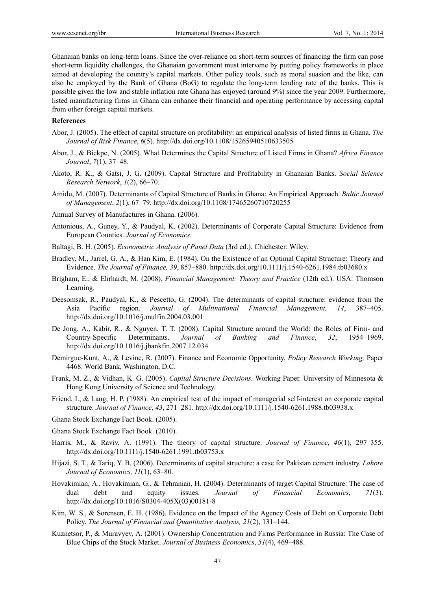Ghanaian banks on long-term loans. Since the over-reliance on short-term sources of financing the firm can pose short-term liquidity challenges, the Ghanaian government must intervene by putting policy frameworks in place aimed at developing the country's capital markets. Other policy tools, such as moral suasion and the like, can also be employed by the Bank of Ghana (BoG) to regulate the long-term lending rate of the banks. This is possible given the low and stable inflation rate Ghana has enjoyed (around 9%) since the year 2009. Furthermore, listed manufacturing firms in Ghana can enhance their financial and operating performance by accessing capital from other foreign capital markets.

#### **References**

- Abor, J. (2005). The effect of capital structure on profitability: an empirical analysis of listed firms in Ghana. *The Journal of Risk Finance*, *6*(5). http://dx.doi.org/10.1108/15265940510633505
- Abor, J., & Biekpe, N. (2005). What Determines the Capital Structure of Listed Firms in Ghana? *Africa Finance Journal*, *7*(1), 37–48.
- Akoto, R. K., & Gatsi, J. G. (2009). Capital Structure and Profitability in Ghanaian Banks. *Social Science Research Network*, *1*(2), 66–70.
- Amidu, M. (2007). Determinants of Capital Structure of Banks in Ghana: An Empirical Approach. *Baltic Journal of Management*, *2*(1), 67–79. http://dx.doi.org/10.1108/17465260710720255
- Annual Survey of Manufactures in Ghana. (2006).
- Antonious, A., Guney, Y., & Paudyal, K. (2002). Determinants of Corporate Capital Structure: Evidence from European Counties. *Journal of Economics*.
- Baltagi, B. H. (2005). *Econometric Analysis of Panel Data* (3rd ed.). Chichester: Wiley.
- Bradley, M., Jarrel, G. A., & Han Kim, E. (1984). On the Existence of an Optimal Capital Structure: Theory and Evidence. *The Journal of Finance, 39*, 857–880. http://dx.doi.org/10.1111/j.1540-6261.1984.tb03680.x
- Brigham, E., & Ehrhardt, M. (2008). *Financial Management: Theory and Practice* (12th ed.). USA: Thomson Learning.
- Deesomsak, R., Paudyal, K., & Pescetto, G. (2004). The determinants of capital structure: evidence from the Asia Pacific region. *Journal of Multinational Financial Management, 14*, 387–405. http://dx.doi.org/10.1016/j.mulfin.2004.03.001
- De Jong, A., Kabir, R., & Nguyen, T. T. (2008). Capital Structure around the World: the Roles of Firm- and Country-Specific Determinants. *Journal of Banking and Finance*, *32*, 1954–1969. http://dx.doi.org/10.1016/j.jbankfin.2007.12.034
- Demirguc-Kunt, A., & Levine, R. (2007). Finance and Economic Opportunity. *Policy Research Working,* Paper 4468. World Bank, Washington, D.C.
- Frank, M. Z., & Vidhan, K. G. (2005). *Capital Structure Decisions.* Working Paper. University of Minnesota & Hong Kong University of Science and Technology.
- Friend, I., & Lang, H. P. (1988). An empirical test of the impact of managerial self-interest on corporate capital structure. *Journal of Finance*, *43*, 271–281. http://dx.doi.org/10.1111/j.1540-6261.1988.tb03938.x
- Ghana Stock Exchange Fact Book. (2005).
- Ghana Stock Exchange Fact Book. (2010).
- Harris, M., & Raviv, A. (1991). The theory of capital structure. *Journal of Finance*, *46*(1), 297–355. http://dx.doi.org/10.1111/j.1540-6261.1991.tb03753.x
- Hijazi, S. T., & Tariq, Y. B. (2006). Determinants of capital structure: a case for Pakistan cement industry. *Lahore Journal of Economics, 11*(1), 63–80.
- Hovakimian, A., Hovakimian, G., & Tehranian, H. (2004). Determinants of target Capital Structure: The case of dual debt and equity issues. *Journal of Financial Economics*, *71*(3). http://dx.doi.org/10.1016/S0304-405X(03)00181-8
- Kim, W. S., & Sorensen, E. H. (1986). Evidence on the Impact of the Agency Costs of Debt on Corporate Debt Policy. *The Journal of Financial and Quantitative Analysis, 21*(2), 131–144.
- Kuznetsor, P., & Muravyev, A. (2001). Ownership Concentration and Firms Performance in Russia: The Case of Blue Chips of the Stock Market. *Journal of Business Economics*, *51*(4), 469–488.